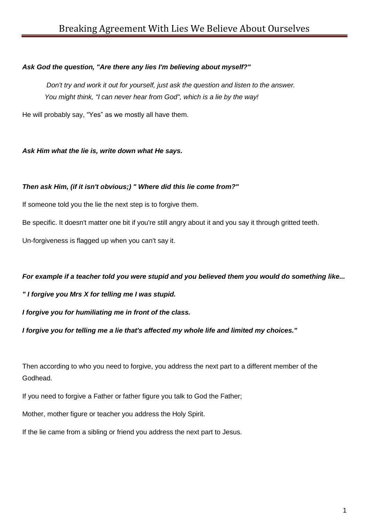### *Ask God the question, "Are there any lies I'm believing about myself?"*

*Don't try and work it out for yourself, just ask the question and listen to the answer. You might think, "I can never hear from God", which is a lie by the way!*

He will probably say, "Yes" as we mostly all have them.

*Ask Him what the lie is, write down what He says.*

### *Then ask Him, (if it isn't obvious;) " Where did this lie come from?"*

If someone told you the lie the next step is to forgive them.

Be specific. It doesn't matter one bit if you're still angry about it and you say it through gritted teeth.

Un-forgiveness is flagged up when you can't say it.

### *For example if a teacher told you were stupid and you believed them you would do something like...*

*" I forgive you Mrs X for telling me I was stupid.* 

*I forgive you for humiliating me in front of the class.*

*I forgive you for telling me a lie that's affected my whole life and limited my choices."*

Then according to who you need to forgive, you address the next part to a different member of the Godhead.

If you need to forgive a Father or father figure you talk to God the Father;

Mother, mother figure or teacher you address the Holy Spirit.

If the lie came from a sibling or friend you address the next part to Jesus.